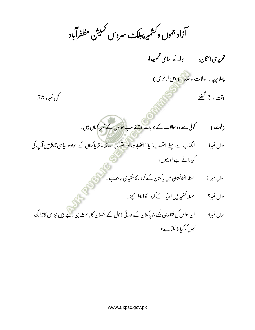اُزاد جموں و *کشمیر پبلکٹ سر*وس کمیش مظفرآباد l<br>S ׇ֚ ֚֓

ͅتحریر ی استحان Ǒ>ˏار ͅ 8Dz jƕ/¡ا lاA: 8 <sup>9</sup> ͏ ͇ ͈ ͅ

پہلا پرچہ : عالات عاضرہ ( بین الاقوامی ) وقت : 2 گھنٹے

ǥ

ل مبر: 50  $^{\circ}$ ̈́

(نوٹ) نوٹ ) گوئی سے دوسوالات کے جوابا<mark>ت دیجئے</mark> سب سوالوں کے نمبر یکساں ہیں۔ ͏ ǿ͇ ͈

- ̈́سوال **نمبرا** ֚֬ 2 ا Ǒ/ب́l lˢا ȅ/ب ͉̄ <sup>|</sup> ͅ ʉ /m"" ū ͈ kıاپañƙ <sup>h</sup>Ú/Ǒ j³/Ǒ دہbbƏlIJن/Ǒ /m ã}/¡ ã}/¡ب/ȅ ثاؤرا/m/ǫ ا "" ٓ ̈́ ̈́ ̈́ͅ ͅ ͅ <sup>6</sup> ¤ † ͈ ͉ ͇ ͇ ͅ ̈́ ͅ Ǖ Ǘ ֚֬ ħ ͅ Ǘ کیا راکے ہے اور قیوں؟ ͏
	- ̈́سوال **نمبر** 1 نمبر 1 مسلمہ افغانستان میں پاکستان کے کردار کا تنقیدی *جائ*زہ کیجئے۔ ǿ͇ ǜ ͅ ̈́ ̈́ ̈́
		- سوال **نمبر** 3 مسلہ کشمیر میں امریکہ کے کردار کا اعاطہ کیجئے۔ ǿ͇
- <sup>a</sup>ǖ˽͇ وال <sup>&</sup>lt;̈́ <sup>4</sup> ارک<m/5اسaǖañƳlưر`ú 9ù/m/5ن/ȟ lIJلb/ƃk~ر<ĉlIJن/Ǒ /mblǤ jƯ>Ɲ/ȅ kı^ اb@ان ͅ ͈ ̈́ ͆ ͈͌ ͌ ͇ ͇ ͉ <sup>r</sup> ͅ ɴ <sup>w</sup> ͅ ͅ ͅ †<sup>ħ</sup> ͇ ͏ ͈Ǖœ ͌ ͌ ̈́ <sup>ƃ</sup> ̈́  $\ddot{\phantom{0}}$ جیوں کر کیا جاسکتا ہے؟ ͅ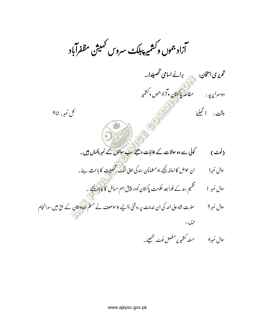اُزاد جموں وکشمیر پبلک<sub>ٹ</sub> سروس <sup>کم</sup>یش مظفرآباد l<br>i ׇ֚ ׇ֚

ͅتحریری امتخان: پھی برائے اسامی تحصیلدار۔ ͅ

دوسرا پرچہ : مطالعہ پاکستان وآزاد جموں و کشمیر ͆ ͉

2Čؤͅ lǤ 2 8 ͊ ̈́ ̟Ť ǥ

ل مبر: 50  $^{\circ}$ ̈́

- (نوٹ) نوٹ ) گوئی سے دوسوالات کے جوابات دیجئے سب سوالوں کے نمبر یحیاں ہیں۔ ͏ ̈́ ǿ͇ ͈
- ̈́سوال **نمبرا** نمبرا ان عوامل کا اعاطہ کیجئے جو مسلمانان ہند کی اپنی الگ شخصیت کا باعث ہے۔ ̈́ ͆ ˜ ǿ͇
	- ̈́سوال **نمبر** 1 نمبر 1 مس معظیم ہندکے فوراً بعد عکومت ۔<br>نقیم ہند کے فوراً بعد عکومت پاکستان کو در پیش اہم میائل کا ج<mark>ائزہ کی</mark>جئے ͅ ͅ تقسیم ہند کے فوراً بعد حکومت پاکستان کو در پبیش اہم مسائل کا جائزہ کیجئے ۔ ǿ͇ ͇ ͏
- <sup>a</sup>ǖ˽͇ وال <sup>&</sup>lt;̈́ <sup>3</sup> <sup>a</sup><sup>ñ</sup> ͈ƙZ lIJن/Ǒ ؤ<Ǒ \_˜ lفb@bƏblǤ ڈاjǣ رؤA: ث/ƃ>انkıااللهkżہؤ/¡ثa: ͅ ¤ ͌Ơ̈́ ȅƉ ̈́ ͇ <sup>ž</sup> ͈ ̈́͆ <sup>µ</sup> ͉ ̈́ ͆ ̈́ م/ǫ͇ <sup>ا</sup>a8 9 ̈́

دیں۔

سوال نمبر4 ہے مسئلہ کشمیر پ<sub>ر</sub> مفصل نوٹ لکھیئے ۔ ǥ͈ ͆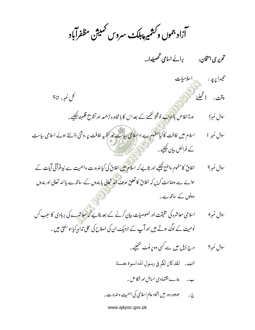۔<br>آزاد جموں وکشمیر پبلک سروس <sup>کممی</sup>ژن مظفرآباد

تحریری امتحان: برائے اسامی تحصیلدار۔

\_ اسلامیات تيسرا پرچه : وقت : الحُضْيَٰ کل نمبر: 50 <sub>سورة اغلاص ب**ااعراب ن**وشخط لکھنے کے بعد اس کا با محاورہ ترجمعہ اور تشریح قلمبند <u>ک</u>چئیے ۔</sub> سوال نمبرا اسلام میں غلافت کا کی<mark>ا مفہوم ہ</mark>ے ؟ اسلامی ریاست اور نظریہ غلافت پر روشنی ڈالتے ہوئے اسلامی ریاست سوال نمبر 1 کے فرائض بیان کچچئیے۔ اخلاق کا مفہوم واضع کیجیئیے اور بتائیے کہ اسلام میں اغلاق کی کیا ضرورت واہمیت ہے نیز قرآنی آیات کے سوال نمبر 3 حوالے سے وصاحت کریں کہ اغلاق کا تعلق صرف اللہ تعالی یا بندوں کے ساتھ ہے یا اللہ تعالی اور بندوں دونوں کے ساتھ ہے۔

اسلامی معاشرہ کی حقیقت اور خصوصیات بیان کرنے کے بعد بتائیے <mark>کہ معاشر</mark>ے کی بربادی کا سبب *ک*س سوال نمبر4 نوعیت کے لوگ ہوتے ہیں اورآپ کے نزدیک ان کی اصلاح کی علی تدابیر کیا ہوسکتی ہیں۔

> درج ذیل میں سے کسی دو پر نوٹ لکھنیے۔ سوال نمبر5 الف \_ لقد كان لكم في رسول الله اسوة حسنة ب۔ پہارے اقتصادی میائل اورانکا عل ۔ ج۔ موجودہ دور میں اتحاد عالم اسلامی کی اہمیت و ضرورت ۔

> > www.ajkpsc.gov.pk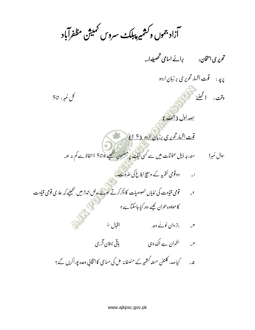۔<br>آزاد جموں وکشمیر پبلک سیروس ممیش مظفرآباد

تحریری امتخان: برائے اسامی تحصیلدار۔ کل نمبر: 50 <u>صه اول (الف)</u> <mark>قت اظهارتحریری برزبان اردو (15)</mark> سوال نمبرا مسلم مندرجہ ذیل عنوانات میں سے کسی ایک پر مضمون لکھیئے ،<sub>1</sub>50 الفاظ سے کم بنہ ہو۔ r۔ قومی قیادت کی نمایاں خصوصیات کا ذکر کرتے ہوئے مدلل انداز میں لکھیئے کہ ہماری قومی قیادت کا موجودہ بحران کیسے دورکیا جاسکتا ہے؟ ۳۔ راز دان خونے دہر اقبال <sup>رح</sup> ھ۔ کیا صدر کلنٹن مسلہ کشمیر کے منصفانہ عل کی مباعی کاانتخابی وعدہ پوراکریں گے ؟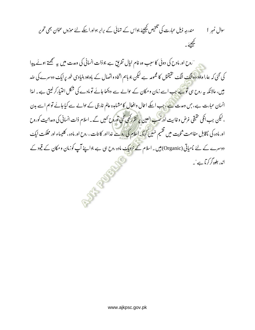̈́ <وال ͇˽aǖ اؤرbƩ͌ A:اA: lIJk~/̄ lIJاسblǤ Sǘ kıرث/Ǒ ^ ذ êر<Ǒ 2 ͇ ͇ ͏ ͅ | ǿ ͇ ͏ ǥ͈ ͇ Ǭ ͈Ǖœ ͈ ̈́ ˓ ͅ <sup>m</sup> ͇ <sup>e</sup> ͈ <sup>Ɔ</sup> <sup>m</sup> ͇ ̈́ <sup>ǝ</sup> زؤںbƏlǤ lʗ <sup>ا</sup> ̈́ <sup>ă</sup> ͏ ž A:hǰ j̰ انb ¡ ͈ ͅ <sup>9</sup> }͇ ͏ lǤ۔ ǥ͈ ͇ <sup>Ǭ</sup> ͈Ǖœ

اروح اور مادح کی دوئی کا سبب وہ غام خیال تفریق ہے جو ذات انسانی کی وعدت میں ہ<sub>یں</sub> سمجھتے ہوئے پیدا ''  $\mathfrak{c}$   $\mathcal{C}$ ے ہیں۔<br>تیس کے مطابق کا مقامت ہے جو مقام کی د بت ہے جو ذات ا<sup>ر</sup> @ بب وہ غام خیال تف کی گئی کہ ہمارا وجود دوالگۂ الگ تفتیقوں کا مجموعہ ہے لیکن جو باہم اتحاد واتصال کے باوجود بنیادی طور پر ایک دوسرے کی عند ͅ ǜ ͅ میں، عالانکہ یہ روح ہی تو ہے جب اسے زمان و مکان کے حوالے سے دیکھا جائے تو مادے کی شکل اختیار کر لیتی ہے۔ امذا ǥ ֚֚֬ ͅ ̈́ انسان عبارت ہے، جن وعدت سے، جب اسکے اعال وافعال کا مشاہدہ عالم غارجی کے حوالے سے کیا جائے تو ہم اسے بدن ͆ ، ليكن جب انكى حقيقى غرض وغائ*ي*ت لیکن جب انکی حقیقی غرض وغائبیت اورنصب العین پر نظررکھی گئی توروح کہیں گے ۔ اسلام ذات انسانی کی وعدان*ی*ت کوروح ǜ ͈ ͅ نظرر کھی گئی توروح <sup>کہ</sup>یں گے ۔ اسلام ذات انسانی اور مادہ کی <mark>ناقاب</mark>ل مفاہمت ثنویت میں تقسیم نہیں کرتا ۔اسلام کی رو سے غدا اور کائنات ، روح اور مادہ ، کلیساء اور مملکت ایک ̈́ ͅ ͅ دوسرے کے لئے نامیاتی (Organic) میں یہ اسلام کے نزدیک مادہ روح ہی ہے جواپنے آپ کوزمان و مکان کے قیود کے ͅ ͈ ٓ اندر علوہ گر کر آ ہے "۔